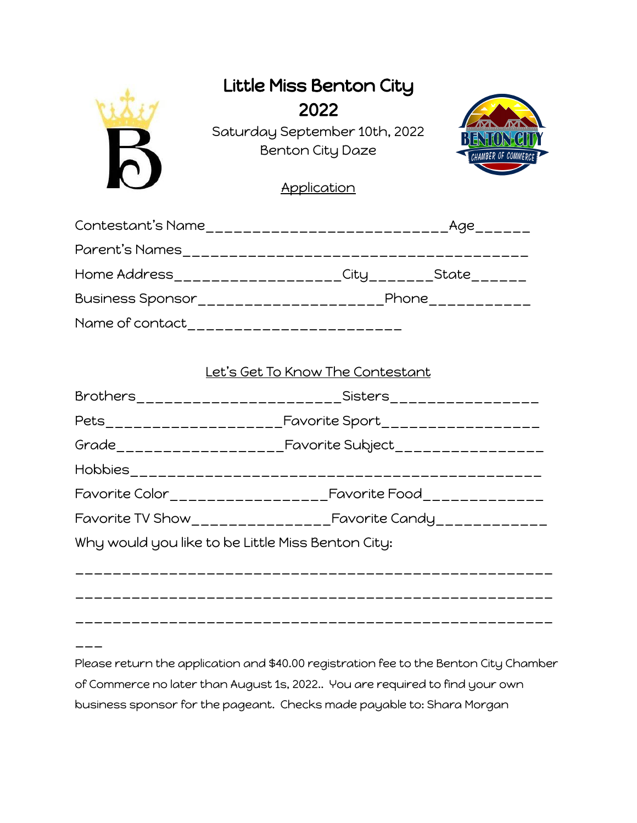

## Little Miss Benton City 2022

Saturday September 10th, 2022 Benton City Daze



**Application** 

| Contestant's Name             | Age<br>__________ <b>________</b>                          |
|-------------------------------|------------------------------------------------------------|
| Parent's Names                |                                                            |
| Home Address_________________ |                                                            |
| Business Sponsor______        | Phone<br><u> 1999 - Jan Berlin Alexandro III (m. 1958)</u> |
| Name of contact               |                                                            |

## Let's Get To Know The Contestant

|                                                   | Brothers________________________Sisters_________________        |  |
|---------------------------------------------------|-----------------------------------------------------------------|--|
|                                                   |                                                                 |  |
|                                                   |                                                                 |  |
|                                                   |                                                                 |  |
|                                                   |                                                                 |  |
|                                                   | Favorite TV Show____________________Favorite Candy_____________ |  |
| Why would you like to be Little Miss Benton City: |                                                                 |  |
|                                                   |                                                                 |  |
|                                                   |                                                                 |  |
|                                                   |                                                                 |  |

\_\_\_

Please return the application and \$40.00 registration fee to the Benton City Chamber of Commerce no later than August 1s, 2022.. You are required to find your own business sponsor for the pageant. Checks made payable to: Shara Morgan